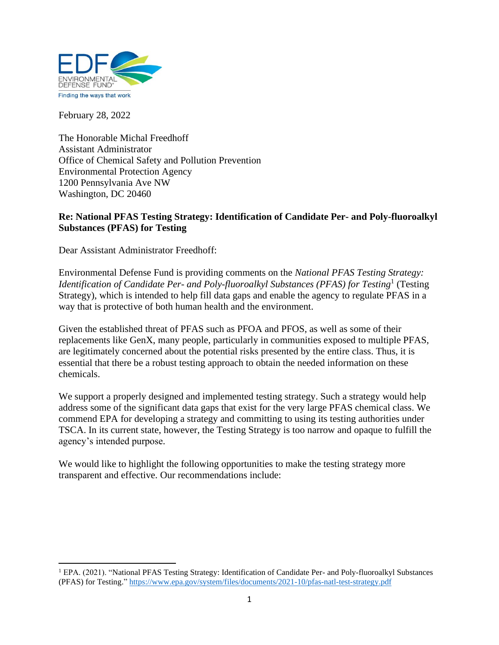

February 28, 2022

The Honorable Michal Freedhoff Assistant Administrator Office of Chemical Safety and Pollution Prevention Environmental Protection Agency 1200 Pennsylvania Ave NW Washington, DC 20460

#### **Re: National PFAS Testing Strategy: Identification of Candidate Per- and Poly-fluoroalkyl Substances (PFAS) for Testing**

Dear Assistant Administrator Freedhoff:

Environmental Defense Fund is providing comments on the *National PFAS Testing Strategy: Identification of Candidate Per- and Poly-fluoroalkyl Substances (PFAS) for Testing*<sup>1</sup> (Testing Strategy), which is intended to help fill data gaps and enable the agency to regulate PFAS in a way that is protective of both human health and the environment.

Given the established threat of PFAS such as PFOA and PFOS, as well as some of their replacements like GenX, many people, particularly in communities exposed to multiple PFAS, are legitimately concerned about the potential risks presented by the entire class. Thus, it is essential that there be a robust testing approach to obtain the needed information on these chemicals.

We support a properly designed and implemented testing strategy. Such a strategy would help address some of the significant data gaps that exist for the very large PFAS chemical class. We commend EPA for developing a strategy and committing to using its testing authorities under TSCA. In its current state, however, the Testing Strategy is too narrow and opaque to fulfill the agency's intended purpose.

We would like to highlight the following opportunities to make the testing strategy more transparent and effective. Our recommendations include:

<sup>&</sup>lt;sup>1</sup> EPA. (2021). "National PFAS Testing Strategy: Identification of Candidate Per- and Poly-fluoroalkyl Substances (PFAS) for Testing." https://www.epa.gov/system/files/documents/2021-10/pfas-natl-test-strategy.pdf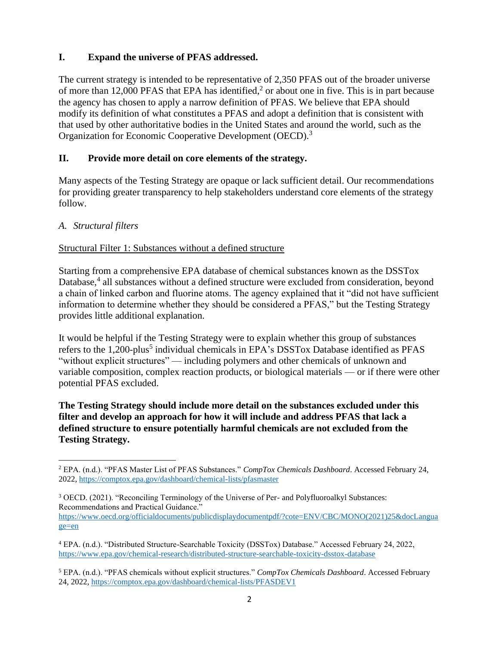# **I. Expand the universe of PFAS addressed.**

The current strategy is intended to be representative of 2,350 PFAS out of the broader universe of more than 12,000 PFAS that EPA has identified,<sup>2</sup> or about one in five. This is in part because the agency has chosen to apply a narrow definition of PFAS. We believe that EPA should modify its definition of what constitutes a PFAS and adopt a definition that is consistent with that used by other authoritative bodies in the United States and around the world, such as the Organization for Economic Cooperative Development (OECD).<sup>3</sup>

# **II. Provide more detail on core elements of the strategy.**

Many aspects of the Testing Strategy are opaque or lack sufficient detail. Our recommendations for providing greater transparency to help stakeholders understand core elements of the strategy follow.

### *A. Structural filters*

# Structural Filter 1: Substances without a defined structure

Starting from a comprehensive EPA database of chemical substances known as the DSSTox Database,<sup>4</sup> all substances without a defined structure were excluded from consideration, beyond a chain of linked carbon and fluorine atoms. The agency explained that it "did not have sufficient information to determine whether they should be considered a PFAS," but the Testing Strategy provides little additional explanation.

It would be helpful if the Testing Strategy were to explain whether this group of substances refers to the 1,200-plus<sup>5</sup> individual chemicals in EPA's DSSTox Database identified as PFAS "without explicit structures" — including polymers and other chemicals of unknown and variable composition, complex reaction products, or biological materials — or if there were other potential PFAS excluded.

**The Testing Strategy should include more detail on the substances excluded under this filter and develop an approach for how it will include and address PFAS that lack a defined structure to ensure potentially harmful chemicals are not excluded from the Testing Strategy.**

<sup>3</sup> OECD. (2021). "Reconciling Terminology of the Universe of Per- and Polyfluoroalkyl Substances: Recommendations and Practical Guidance." https://www.oecd.org/officialdocuments/publicdisplaydocumentpdf/?cote=ENV/CBC/MONO(2021)25&docLangua ge=en

<sup>5</sup> EPA. (n.d.). "PFAS chemicals without explicit structures." *CompTox Chemicals Dashboard*. Accessed February 24, 2022, https://comptox.epa.gov/dashboard/chemical-lists/PFASDEV1

<sup>2</sup> EPA. (n.d.). "PFAS Master List of PFAS Substances." *CompTox Chemicals Dashboard*. Accessed February 24, 2022, https://comptox.epa.gov/dashboard/chemical-lists/pfasmaster

<sup>4</sup> EPA. (n.d.). "Distributed Structure-Searchable Toxicity (DSSTox) Database." Accessed February 24, 2022, https://www.epa.gov/chemical-research/distributed-structure-searchable-toxicity-dsstox-database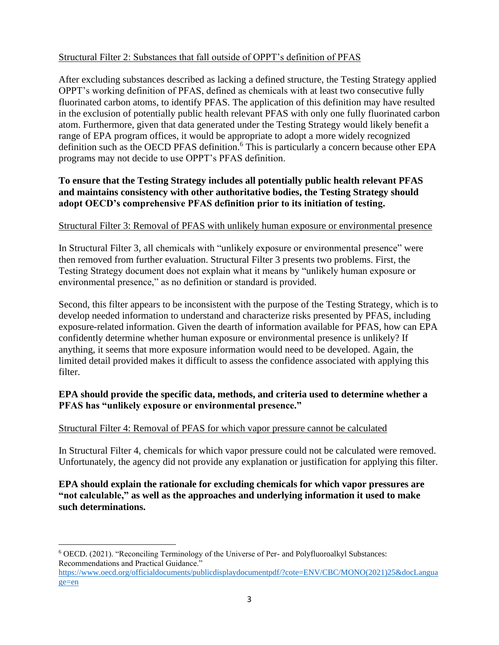## Structural Filter 2: Substances that fall outside of OPPT's definition of PFAS

After excluding substances described as lacking a defined structure, the Testing Strategy applied OPPT's working definition of PFAS, defined as chemicals with at least two consecutive fully fluorinated carbon atoms, to identify PFAS. The application of this definition may have resulted in the exclusion of potentially public health relevant PFAS with only one fully fluorinated carbon atom. Furthermore, given that data generated under the Testing Strategy would likely benefit a range of EPA program offices, it would be appropriate to adopt a more widely recognized definition such as the OECD PFAS definition. <sup>6</sup> This is particularly a concern because other EPA programs may not decide to use OPPT's PFAS definition.

# **To ensure that the Testing Strategy includes all potentially public health relevant PFAS and maintains consistency with other authoritative bodies, the Testing Strategy should adopt OECD's comprehensive PFAS definition prior to its initiation of testing.**

### Structural Filter 3: Removal of PFAS with unlikely human exposure or environmental presence

In Structural Filter 3, all chemicals with "unlikely exposure or environmental presence" were then removed from further evaluation. Structural Filter 3 presents two problems. First, the Testing Strategy document does not explain what it means by "unlikely human exposure or environmental presence," as no definition or standard is provided.

Second, this filter appears to be inconsistent with the purpose of the Testing Strategy, which is to develop needed information to understand and characterize risks presented by PFAS, including exposure-related information. Given the dearth of information available for PFAS, how can EPA confidently determine whether human exposure or environmental presence is unlikely? If anything, it seems that more exposure information would need to be developed. Again, the limited detail provided makes it difficult to assess the confidence associated with applying this filter.

### **EPA should provide the specific data, methods, and criteria used to determine whether a PFAS has "unlikely exposure or environmental presence."**

### Structural Filter 4: Removal of PFAS for which vapor pressure cannot be calculated

In Structural Filter 4, chemicals for which vapor pressure could not be calculated were removed. Unfortunately, the agency did not provide any explanation or justification for applying this filter.

### **EPA should explain the rationale for excluding chemicals for which vapor pressures are "not calculable," as well as the approaches and underlying information it used to make such determinations.**

- <sup>6</sup> OECD. (2021). "Reconciling Terminology of the Universe of Per- and Polyfluoroalkyl Substances: Recommendations and Practical Guidance."
- https://www.oecd.org/officialdocuments/publicdisplaydocumentpdf/?cote=ENV/CBC/MONO(2021)25&docLangua ge=en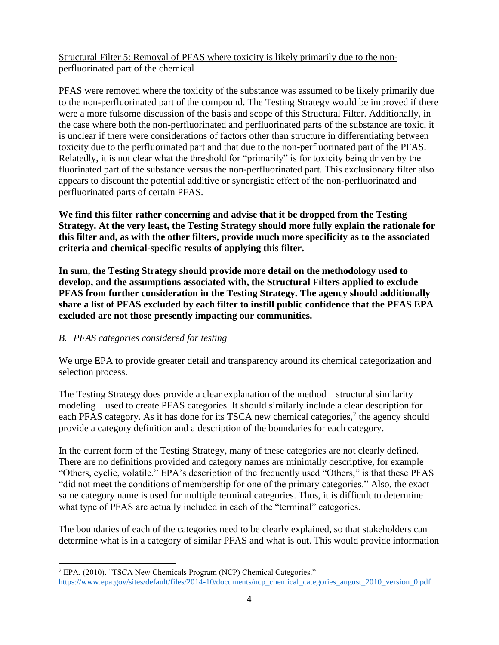Structural Filter 5: Removal of PFAS where toxicity is likely primarily due to the nonperfluorinated part of the chemical

PFAS were removed where the toxicity of the substance was assumed to be likely primarily due to the non-perfluorinated part of the compound. The Testing Strategy would be improved if there were a more fulsome discussion of the basis and scope of this Structural Filter. Additionally, in the case where both the non-perfluorinated and perfluorinated parts of the substance are toxic, it is unclear if there were considerations of factors other than structure in differentiating between toxicity due to the perfluorinated part and that due to the non-perfluorinated part of the PFAS. Relatedly, it is not clear what the threshold for "primarily" is for toxicity being driven by the fluorinated part of the substance versus the non-perfluorinated part. This exclusionary filter also appears to discount the potential additive or synergistic effect of the non-perfluorinated and perfluorinated parts of certain PFAS.

**We find this filter rather concerning and advise that it be dropped from the Testing Strategy. At the very least, the Testing Strategy should more fully explain the rationale for this filter and, as with the other filters, provide much more specificity as to the associated criteria and chemical-specific results of applying this filter.**

**In sum, the Testing Strategy should provide more detail on the methodology used to develop, and the assumptions associated with, the Structural Filters applied to exclude PFAS from further consideration in the Testing Strategy. The agency should additionally share a list of PFAS excluded by each filter to instill public confidence that the PFAS EPA excluded are not those presently impacting our communities.**

### *B. PFAS categories considered for testing*

We urge EPA to provide greater detail and transparency around its chemical categorization and selection process.

The Testing Strategy does provide a clear explanation of the method – structural similarity modeling – used to create PFAS categories. It should similarly include a clear description for each PFAS category. As it has done for its TSCA new chemical categories,<sup>7</sup> the agency should provide a category definition and a description of the boundaries for each category.

In the current form of the Testing Strategy, many of these categories are not clearly defined. There are no definitions provided and category names are minimally descriptive, for example "Others, cyclic, volatile." EPA's description of the frequently used "Others," is that these PFAS "did not meet the conditions of membership for one of the primary categories." Also, the exact same category name is used for multiple terminal categories. Thus, it is difficult to determine what type of PFAS are actually included in each of the "terminal" categories.

The boundaries of each of the categories need to be clearly explained, so that stakeholders can determine what is in a category of similar PFAS and what is out. This would provide information

<sup>7</sup> EPA. (2010). "TSCA New Chemicals Program (NCP) Chemical Categories." https://www.epa.gov/sites/default/files/2014-10/documents/ncp\_chemical\_categories\_august\_2010\_version\_0.pdf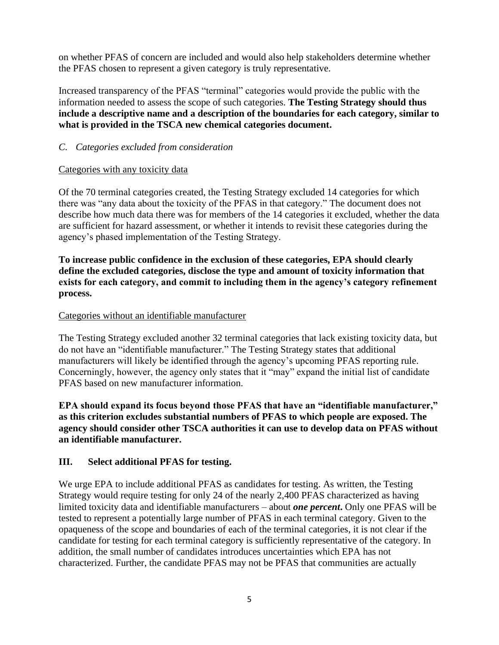on whether PFAS of concern are included and would also help stakeholders determine whether the PFAS chosen to represent a given category is truly representative.

Increased transparency of the PFAS "terminal" categories would provide the public with the information needed to assess the scope of such categories. **The Testing Strategy should thus include a descriptive name and a description of the boundaries for each category, similar to what is provided in the TSCA new chemical categories document.**

## *C. Categories excluded from consideration*

### Categories with any toxicity data

Of the 70 terminal categories created, the Testing Strategy excluded 14 categories for which there was "any data about the toxicity of the PFAS in that category." The document does not describe how much data there was for members of the 14 categories it excluded, whether the data are sufficient for hazard assessment, or whether it intends to revisit these categories during the agency's phased implementation of the Testing Strategy.

**To increase public confidence in the exclusion of these categories, EPA should clearly define the excluded categories, disclose the type and amount of toxicity information that exists for each category, and commit to including them in the agency's category refinement process.** 

# Categories without an identifiable manufacturer

The Testing Strategy excluded another 32 terminal categories that lack existing toxicity data, but do not have an "identifiable manufacturer." The Testing Strategy states that additional manufacturers will likely be identified through the agency's upcoming PFAS reporting rule. Concerningly, however, the agency only states that it "may" expand the initial list of candidate PFAS based on new manufacturer information.

**EPA should expand its focus beyond those PFAS that have an "identifiable manufacturer," as this criterion excludes substantial numbers of PFAS to which people are exposed. The agency should consider other TSCA authorities it can use to develop data on PFAS without an identifiable manufacturer.**

### **III. Select additional PFAS for testing.**

We urge EPA to include additional PFAS as candidates for testing. As written, the Testing Strategy would require testing for only 24 of the nearly 2,400 PFAS characterized as having limited toxicity data and identifiable manufacturers – about *one percent***.** Only one PFAS will be tested to represent a potentially large number of PFAS in each terminal category. Given to the opaqueness of the scope and boundaries of each of the terminal categories, it is not clear if the candidate for testing for each terminal category is sufficiently representative of the category. In addition, the small number of candidates introduces uncertainties which EPA has not characterized. Further, the candidate PFAS may not be PFAS that communities are actually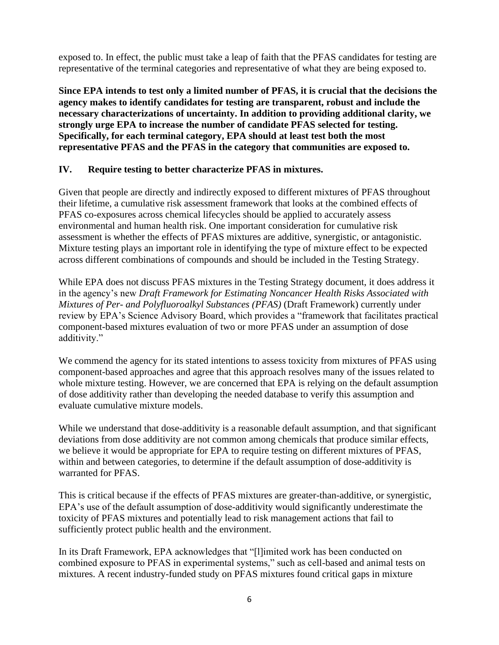exposed to. In effect, the public must take a leap of faith that the PFAS candidates for testing are representative of the terminal categories and representative of what they are being exposed to.

**Since EPA intends to test only a limited number of PFAS, it is crucial that the decisions the agency makes to identify candidates for testing are transparent, robust and include the necessary characterizations of uncertainty. In addition to providing additional clarity, we strongly urge EPA to increase the number of candidate PFAS selected for testing. Specifically, for each terminal category, EPA should at least test both the most representative PFAS and the PFAS in the category that communities are exposed to.**

### **IV. Require testing to better characterize PFAS in mixtures.**

Given that people are directly and indirectly exposed to different mixtures of PFAS throughout their lifetime, a cumulative risk assessment framework that looks at the combined effects of PFAS co-exposures across chemical lifecycles should be applied to accurately assess environmental and human health risk. One important consideration for cumulative risk assessment is whether the effects of PFAS mixtures are additive, synergistic, or antagonistic. Mixture testing plays an important role in identifying the type of mixture effect to be expected across different combinations of compounds and should be included in the Testing Strategy.

While EPA does not discuss PFAS mixtures in the Testing Strategy document, it does address it in the agency's new *Draft Framework for Estimating Noncancer Health Risks Associated with Mixtures of Per- and Polyfluoroalkyl Substances (PFAS)* (Draft Framework) currently under review by EPA's Science Advisory Board, which provides a "framework that facilitates practical component-based mixtures evaluation of two or more PFAS under an assumption of dose additivity."

We commend the agency for its stated intentions to assess toxicity from mixtures of PFAS using component-based approaches and agree that this approach resolves many of the issues related to whole mixture testing. However, we are concerned that EPA is relying on the default assumption of dose additivity rather than developing the needed database to verify this assumption and evaluate cumulative mixture models.

While we understand that dose-additivity is a reasonable default assumption, and that significant deviations from dose additivity are not common among chemicals that produce similar effects, we believe it would be appropriate for EPA to require testing on different mixtures of PFAS, within and between categories, to determine if the default assumption of dose-additivity is warranted for PFAS.

This is critical because if the effects of PFAS mixtures are greater-than-additive, or synergistic, EPA's use of the default assumption of dose-additivity would significantly underestimate the toxicity of PFAS mixtures and potentially lead to risk management actions that fail to sufficiently protect public health and the environment.

In its Draft Framework, EPA acknowledges that "[l]imited work has been conducted on combined exposure to PFAS in experimental systems," such as cell-based and animal tests on mixtures. A recent industry-funded study on PFAS mixtures found critical gaps in mixture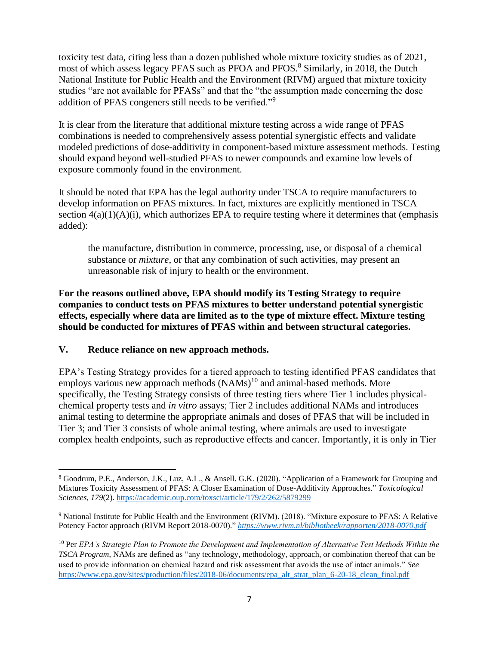toxicity test data, citing less than a dozen published whole mixture toxicity studies as of 2021, most of which assess legacy PFAS such as PFOA and PFOS.<sup>8</sup> Similarly, in 2018, the Dutch National Institute for Public Health and the Environment (RIVM) argued that mixture toxicity studies "are not available for PFASs" and that the "the assumption made concerning the dose addition of PFAS congeners still needs to be verified."<sup>9</sup>

It is clear from the literature that additional mixture testing across a wide range of PFAS combinations is needed to comprehensively assess potential synergistic effects and validate modeled predictions of dose-additivity in component-based mixture assessment methods. Testing should expand beyond well-studied PFAS to newer compounds and examine low levels of exposure commonly found in the environment.

It should be noted that EPA has the legal authority under TSCA to require manufacturers to develop information on PFAS mixtures. In fact, mixtures are explicitly mentioned in TSCA section  $4(a)(1)(A)(i)$ , which authorizes EPA to require testing where it determines that (emphasis added):

the manufacture, distribution in commerce, processing, use, or disposal of a chemical substance or *mixture*, or that any combination of such activities, may present an unreasonable risk of injury to health or the environment.

**For the reasons outlined above, EPA should modify its Testing Strategy to require companies to conduct tests on PFAS mixtures to better understand potential synergistic effects, especially where data are limited as to the type of mixture effect. Mixture testing should be conducted for mixtures of PFAS within and between structural categories.**

### **V. Reduce reliance on new approach methods.**

EPA's Testing Strategy provides for a tiered approach to testing identified PFAS candidates that employs various new approach methods  $(NAMs)^{10}$  and animal-based methods. More specifically, the Testing Strategy consists of three testing tiers where Tier 1 includes physicalchemical property tests and *in vitro* assays; Tier 2 includes additional NAMs and introduces animal testing to determine the appropriate animals and doses of PFAS that will be included in Tier 3; and Tier 3 consists of whole animal testing, where animals are used to investigate complex health endpoints, such as reproductive effects and cancer. Importantly, it is only in Tier

<sup>8</sup> Goodrum, P.E., Anderson, J.K., Luz, A.L., & Ansell. G.K. (2020). "Application of a Framework for Grouping and Mixtures Toxicity Assessment of PFAS: A Closer Examination of Dose-Additivity Approaches." *Toxicological Sciences, 179*(2). https://academic.oup.com/toxsci/article/179/2/262/5879299

<sup>9</sup> National Institute for Public Health and the Environment (RIVM). (2018). "Mixture exposure to PFAS: A Relative Potency Factor approach (RIVM Report 2018-0070)." *https://www.rivm.nl/bibliotheek/rapporten/2018-0070.pdf*

<sup>10</sup> Per *EPA's Strategic Plan to Promote the Development and Implementation of Alternative Test Methods Within the TSCA Program*, NAMs are defined as "any technology, methodology, approach, or combination thereof that can be used to provide information on chemical hazard and risk assessment that avoids the use of intact animals." *See* https://www.epa.gov/sites/production/files/2018-06/documents/epa\_alt\_strat\_plan\_6-20-18\_clean\_final.pdf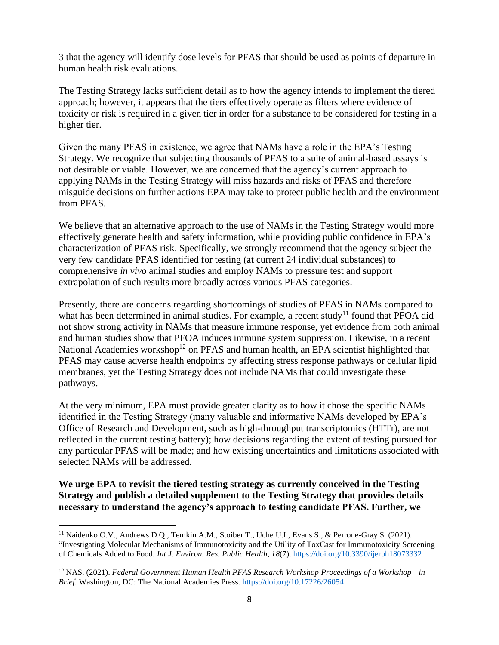3 that the agency will identify dose levels for PFAS that should be used as points of departure in human health risk evaluations.

The Testing Strategy lacks sufficient detail as to how the agency intends to implement the tiered approach; however, it appears that the tiers effectively operate as filters where evidence of toxicity or risk is required in a given tier in order for a substance to be considered for testing in a higher tier.

Given the many PFAS in existence, we agree that NAMs have a role in the EPA's Testing Strategy. We recognize that subjecting thousands of PFAS to a suite of animal-based assays is not desirable or viable. However, we are concerned that the agency's current approach to applying NAMs in the Testing Strategy will miss hazards and risks of PFAS and therefore misguide decisions on further actions EPA may take to protect public health and the environment from PFAS.

We believe that an alternative approach to the use of NAMs in the Testing Strategy would more effectively generate health and safety information, while providing public confidence in EPA's characterization of PFAS risk. Specifically, we strongly recommend that the agency subject the very few candidate PFAS identified for testing (at current 24 individual substances) to comprehensive *in vivo* animal studies and employ NAMs to pressure test and support extrapolation of such results more broadly across various PFAS categories.

Presently, there are concerns regarding shortcomings of studies of PFAS in NAMs compared to what has been determined in animal studies. For example, a recent study<sup>11</sup> found that PFOA did not show strong activity in NAMs that measure immune response, yet evidence from both animal and human studies show that PFOA induces immune system suppression. Likewise, in a recent National Academies workshop<sup>12</sup> on PFAS and human health, an EPA scientist highlighted that PFAS may cause adverse health endpoints by affecting stress response pathways or cellular lipid membranes, yet the Testing Strategy does not include NAMs that could investigate these pathways.

At the very minimum, EPA must provide greater clarity as to how it chose the specific NAMs identified in the Testing Strategy (many valuable and informative NAMs developed by EPA's Office of Research and Development, such as high-throughput transcriptomics (HTTr), are not reflected in the current testing battery); how decisions regarding the extent of testing pursued for any particular PFAS will be made; and how existing uncertainties and limitations associated with selected NAMs will be addressed.

**We urge EPA to revisit the tiered testing strategy as currently conceived in the Testing Strategy and publish a detailed supplement to the Testing Strategy that provides details necessary to understand the agency's approach to testing candidate PFAS. Further, we** 

<sup>&</sup>lt;sup>11</sup> Naidenko O.V., Andrews D.Q., Temkin A.M., Stoiber T., Uche U.I., Evans S., & Perrone-Gray S. (2021). "Investigating Molecular Mechanisms of Immunotoxicity and the Utility of ToxCast for Immunotoxicity Screening of Chemicals Added to Food. *Int J. Environ. Res. Public Health, 18*(7). https://doi.org/10.3390/ijerph18073332

<sup>12</sup> NAS. (2021). *Federal Government Human Health PFAS Research Workshop Proceedings of a Workshop—in Brief*. Washington, DC: The National Academies Press. https://doi.org/10.17226/26054